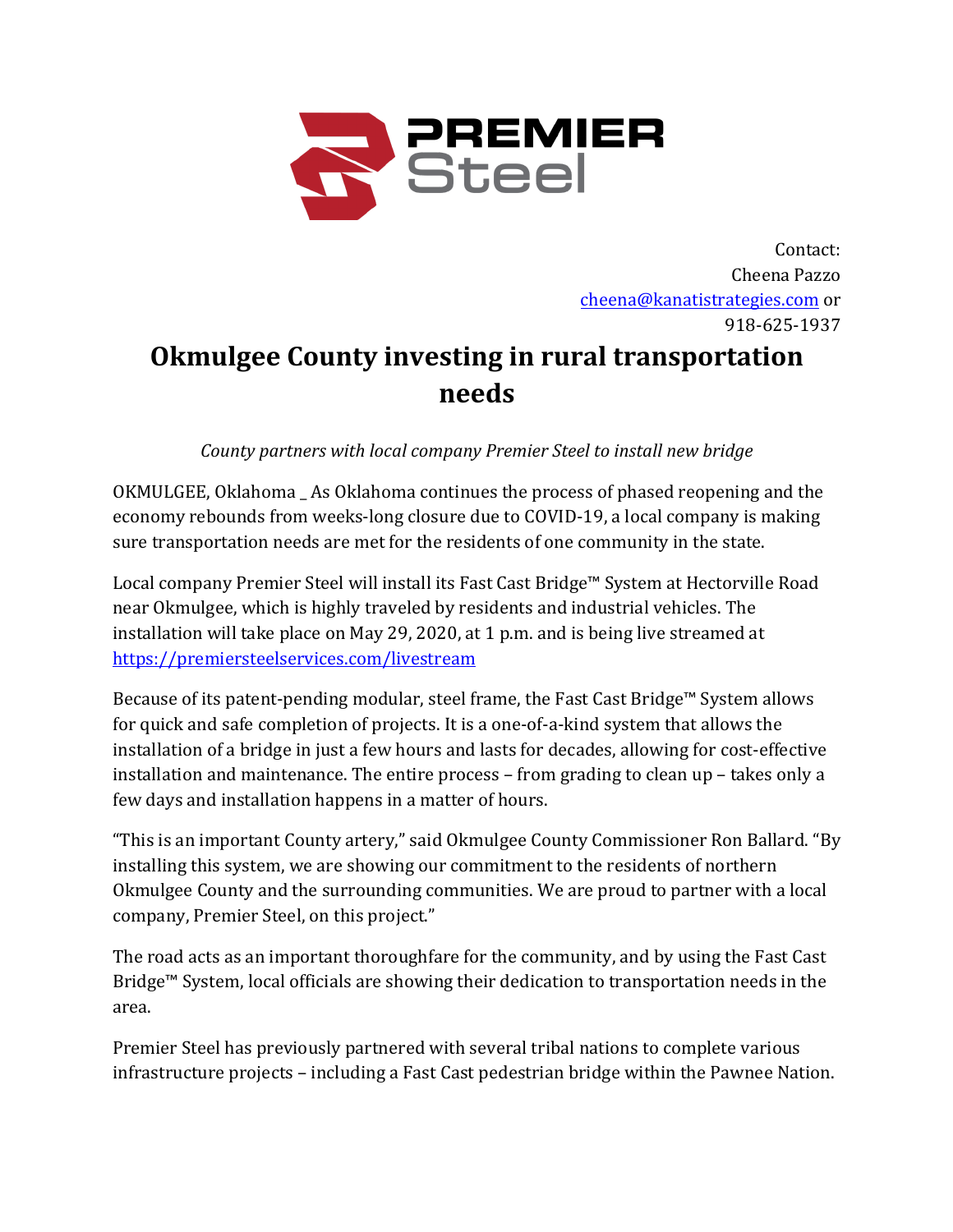

Contact: Cheena Pazzo cheena@kanatistrategies.com or 918-625-1937

## **Okmulgee County investing in rural transportation needs**

*County partners with local company Premier Steel to install new bridge* 

OKMULGEE, Oklahoma As Oklahoma continues the process of phased reopening and the economy rebounds from weeks-long closure due to COVID-19, a local company is making sure transportation needs are met for the residents of one community in the state.

Local company Premier Steel will install its Fast Cast Bridge™ System at Hectorville Road near Okmulgee, which is highly traveled by residents and industrial vehicles. The installation will take place on May 29, 2020, at 1 p.m. and is being live streamed at https://premiersteelservices.com/livestream

Because of its patent-pending modular, steel frame, the Fast Cast Bridge<sup> $M$ </sup> System allows for quick and safe completion of projects. It is a one-of-a-kind system that allows the installation of a bridge in just a few hours and lasts for decades, allowing for cost-effective installation and maintenance. The entire process - from grading to clean up - takes only a few days and installation happens in a matter of hours.

"This is an important County artery," said Okmulgee County Commissioner Ron Ballard. "By installing this system, we are showing our commitment to the residents of northern Okmulgee County and the surrounding communities. We are proud to partner with a local company, Premier Steel, on this project."

The road acts as an important thoroughfare for the community, and by using the Fast Cast Bridge<sup>™</sup> System, local officials are showing their dedication to transportation needs in the area. 

Premier Steel has previously partnered with several tribal nations to complete various infrastructure projects – including a Fast Cast pedestrian bridge within the Pawnee Nation.